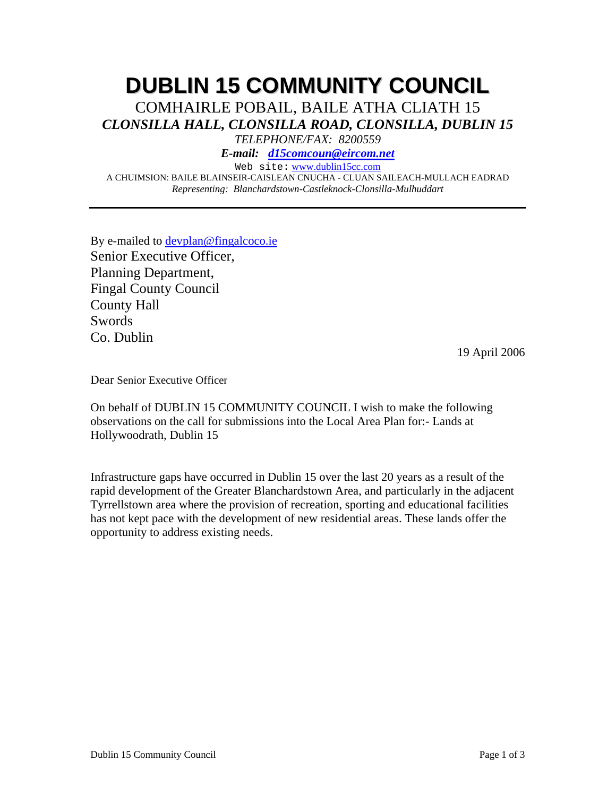# **DUBLIN 15 COMMUNITY COUNCIL**

COMHAIRLE POBAIL, BAILE ATHA CLIATH 15 *CLONSILLA HALL, CLONSILLA ROAD, CLONSILLA, DUBLIN 15* 

*TELEPHONE/FAX: 8200559* 

*E-mail: d15comcoun@eircom.net*

Web site: www.dublin15cc.com

A CHUIMSION: BAILE BLAINSEIR-CAISLEAN CNUCHA - CLUAN SAILEACH-MULLACH EADRAD *Representing: Blanchardstown-Castleknock-Clonsilla-Mulhuddart* 

By e-mailed to devplan@fingalcoco.ie Senior Executive Officer, Planning Department, Fingal County Council County Hall **Swords** Co. Dublin

19 April 2006

Dear Senior Executive Officer

On behalf of DUBLIN 15 COMMUNITY COUNCIL I wish to make the following observations on the call for submissions into the Local Area Plan for:- Lands at Hollywoodrath, Dublin 15

Infrastructure gaps have occurred in Dublin 15 over the last 20 years as a result of the rapid development of the Greater Blanchardstown Area, and particularly in the adjacent Tyrrellstown area where the provision of recreation, sporting and educational facilities has not kept pace with the development of new residential areas. These lands offer the opportunity to address existing needs.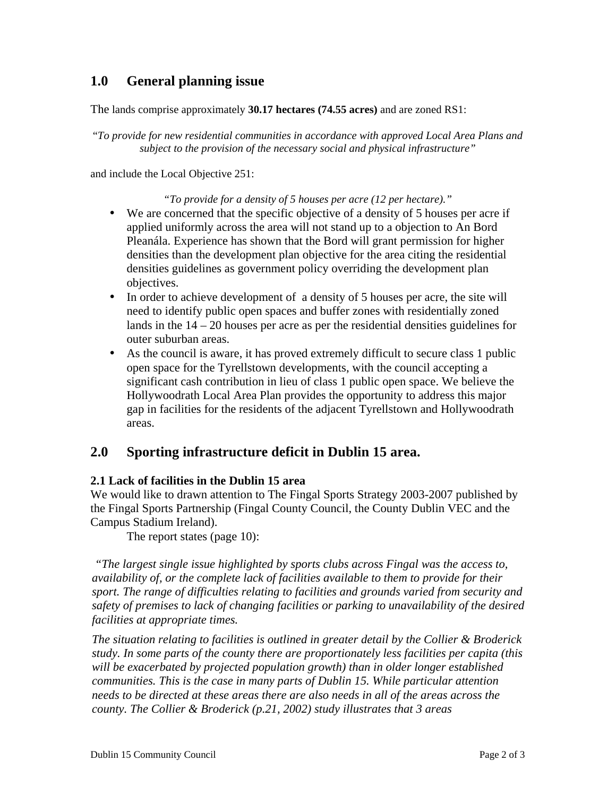# **1.0 General planning issue**

The lands comprise approximately **30.17 hectares (74.55 acres)** and are zoned RS1:

"*To provide for new residential communities in accordance with approved Local Area Plans and subject to the provision of the necessary social and physical infrastructure"* 

and include the Local Objective 251:

#### *"To provide for a density of 5 houses per acre (12 per hectare)."*

- We are concerned that the specific objective of a density of 5 houses per acre if applied uniformly across the area will not stand up to a objection to An Bord Pleanála. Experience has shown that the Bord will grant permission for higher densities than the development plan objective for the area citing the residential densities guidelines as government policy overriding the development plan objectives.
- In order to achieve development of a density of 5 houses per acre, the site will need to identify public open spaces and buffer zones with residentially zoned lands in the 14 – 20 houses per acre as per the residential densities guidelines for outer suburban areas.
- As the council is aware, it has proved extremely difficult to secure class 1 public open space for the Tyrellstown developments, with the council accepting a significant cash contribution in lieu of class 1 public open space. We believe the Hollywoodrath Local Area Plan provides the opportunity to address this major gap in facilities for the residents of the adjacent Tyrellstown and Hollywoodrath areas.

## **2.0 Sporting infrastructure deficit in Dublin 15 area.**

### **2.1 Lack of facilities in the Dublin 15 area**

We would like to drawn attention to The Fingal Sports Strategy 2003-2007 published by the Fingal Sports Partnership (Fingal County Council, the County Dublin VEC and the Campus Stadium Ireland).

The report states (page 10):

*"The largest single issue highlighted by sports clubs across Fingal was the access to, availability of, or the complete lack of facilities available to them to provide for their sport. The range of difficulties relating to facilities and grounds varied from security and safety of premises to lack of changing facilities or parking to unavailability of the desired facilities at appropriate times.* 

*The situation relating to facilities is outlined in greater detail by the Collier & Broderick study. In some parts of the county there are proportionately less facilities per capita (this will be exacerbated by projected population growth) than in older longer established communities. This is the case in many parts of Dublin 15. While particular attention needs to be directed at these areas there are also needs in all of the areas across the county. The Collier & Broderick (p.21, 2002) study illustrates that 3 areas*